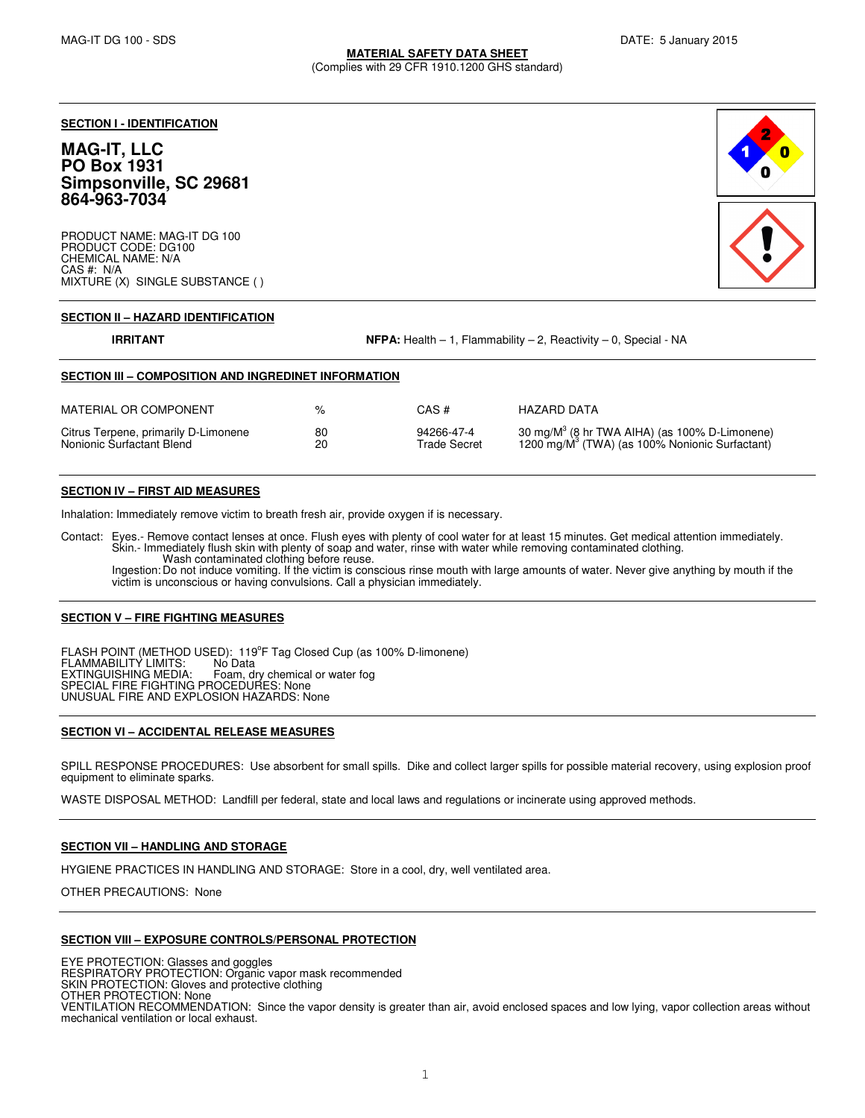**SECTION I - IDENTIFICATION**

# **MAG-IT, LLC PO Box 1931 Simpsonville, SC 29681 864-963-7034**

PRODUCT NAME: MAG-IT DG 100 PRODUCT CODE: DG100 CHEMICAL NAME: N/A CAS #: N/A MIXTURE (X) SINGLE SUBSTANCE ( )



# **SECTION II – HAZARD IDENTIFICATION**

**IRRITANT IRRITANT NFPA:** Health – 1, Flammability – 2, Reactivity – 0, Special - NA

# **SECTION III – COMPOSITION AND INGREDINET INFORMATION**

| MATERIAL OR COMPONENT                | $\frac{1}{2}$ | CAS #        | HAZARD DATA                                                |
|--------------------------------------|---------------|--------------|------------------------------------------------------------|
| Citrus Terpene, primarily D-Limonene | 80            | 94266-47-4   | 30 mg/M $3$ (8 hr TWA AIHA) (as 100% D-Limonene)           |
| Nonionic Surfactant Blend            | 20            | Trade Secret | 1200 mg/M <sup>3</sup> (TWA) (as 100% Nonionic Surfactant) |

## **SECTION IV – FIRST AID MEASURES**

Inhalation: Immediately remove victim to breath fresh air, provide oxygen if is necessary.

Contact: Eyes.- Remove contact lenses at once. Flush eyes with plenty of cool water for at least 15 minutes. Get medical attention immediately.<br>Skin.- Immediately flush skin with plenty of soap and water, rinse with water Wash contaminated clothing before reuse.

Ingestion: Do not induce vomiting. If the victim is conscious rinse mouth with large amounts of water. Never give anything by mouth if the victim is unconscious or having convulsions. Call a physician immediately.

## **SECTION V – FIRE FIGHTING MEASURES**

FLASH POINT (METHOD USED): 119ºF Tag Closed Cup (as 100% D-limonene)<br>FLAMMABILITY LIMITS: No Data EXTINGUISHING MEDIA: Foam, dry chemical or water fog SPECIAL FIRE FIGHTING PROCEDURES: None UNUSUAL FIRE AND EXPLOSION HAZARDS: None

## **SECTION VI – ACCIDENTAL RELEASE MEASURES**

SPILL RESPONSE PROCEDURES: Use absorbent for small spills. Dike and collect larger spills for possible material recovery, using explosion proof equipment to eliminate sparks.

WASTE DISPOSAL METHOD: Landfill per federal, state and local laws and regulations or incinerate using approved methods.

# **SECTION VII – HANDLING AND STORAGE**

HYGIENE PRACTICES IN HANDLING AND STORAGE: Store in a cool, dry, well ventilated area.

OTHER PRECAUTIONS: None

## **SECTION VIII – EXPOSURE CONTROLS/PERSONAL PROTECTION**

EYE PROTECTION: Glasses and goggles RESPIRATORY PROTECTION: Organic vapor mask recommended SKIN PROTECTION: Gloves and protective clothing OTHER PROTECTION: None VENTILATION RECOMMENDATION: Since the vapor density is greater than air, avoid enclosed spaces and low lying, vapor collection areas without mechanical ventilation or local exhaust.